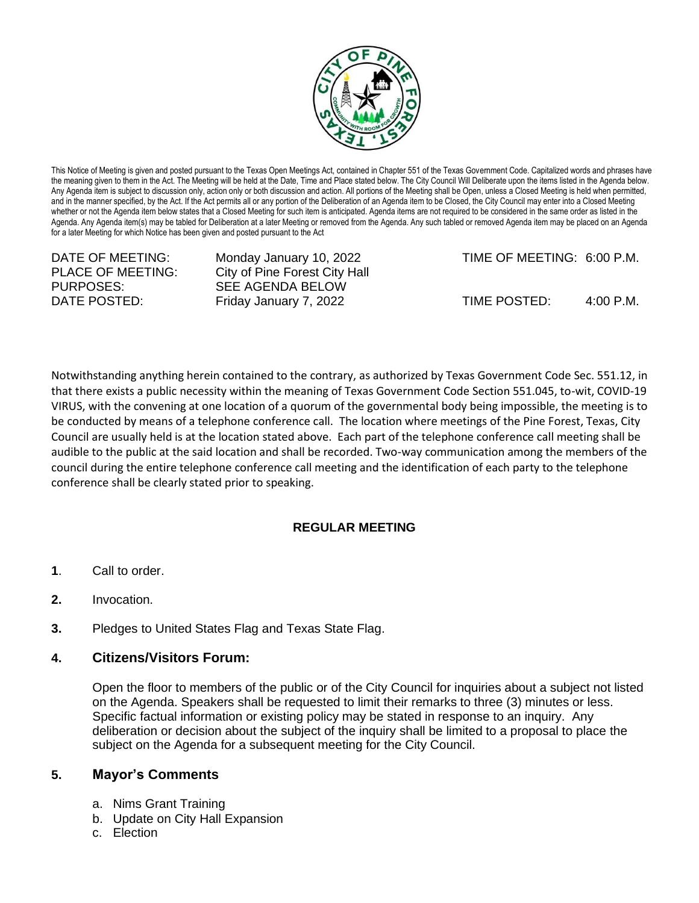

This Notice of Meeting is given and posted pursuant to the Texas Open Meetings Act, contained in Chapter 551 of the Texas Government Code. Capitalized words and phrases have the meaning given to them in the Act. The Meeting will be held at the Date, Time and Place stated below. The City Council Will Deliberate upon the items listed in the Agenda below. Any Agenda item is subject to discussion only, action only or both discussion and action. All portions of the Meeting shall be Open, unless a Closed Meeting is held when permitted, and in the manner specified, by the Act. If the Act permits all or any portion of the Deliberation of an Agenda item to be Closed, the City Council may enter into a Closed Meeting whether or not the Agenda item below states that a Closed Meeting for such item is anticipated. Agenda items are not required to be considered in the same order as listed in the Agenda. Any Agenda item(s) may be tabled for Deliberation at a later Meeting or removed from the Agenda. Any such tabled or removed Agenda item may be placed on an Agenda for a later Meeting for which Notice has been given and posted pursuant to the Act

PURPOSES: SEE AGENDA BELOW

PLACE OF MEETING: City of Pine Forest City Hall

DATE OF MEETING: Monday January 10, 2022 TIME OF MEETING: 6:00 P.M.

DATE POSTED: Friday January 7, 2022 TIME POSTED: 4:00 P.M.

Notwithstanding anything herein contained to the contrary, as authorized by Texas Government Code Sec. 551.12, in that there exists a public necessity within the meaning of Texas Government Code Section 551.045, to-wit, COVID-19 VIRUS, with the convening at one location of a quorum of the governmental body being impossible, the meeting is to be conducted by means of a telephone conference call. The location where meetings of the Pine Forest, Texas, City Council are usually held is at the location stated above. Each part of the telephone conference call meeting shall be audible to the public at the said location and shall be recorded. Two-way communication among the members of the council during the entire telephone conference call meeting and the identification of each party to the telephone conference shall be clearly stated prior to speaking.

## **REGULAR MEETING**

- **1**. Call to order.
- **2.** Invocation.
- **3.** Pledges to United States Flag and Texas State Flag.

## **4. Citizens/Visitors Forum:**

Open the floor to members of the public or of the City Council for inquiries about a subject not listed on the Agenda. Speakers shall be requested to limit their remarks to three (3) minutes or less. Specific factual information or existing policy may be stated in response to an inquiry. Any deliberation or decision about the subject of the inquiry shall be limited to a proposal to place the subject on the Agenda for a subsequent meeting for the City Council.

## **5. Mayor's Comments**

- a. Nims Grant Training
- b. Update on City Hall Expansion
- c. Election